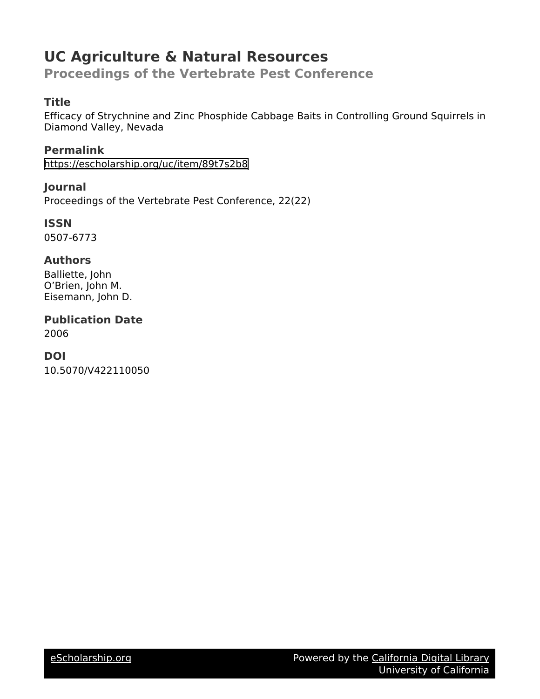# **UC Agriculture & Natural Resources**

**Proceedings of the Vertebrate Pest Conference**

# **Title**

Efficacy of Strychnine and Zinc Phosphide Cabbage Baits in Controlling Ground Squirrels in Diamond Valley, Nevada

**Permalink** <https://escholarship.org/uc/item/89t7s2b8>

**Journal** Proceedings of the Vertebrate Pest Conference, 22(22)

**ISSN** 0507-6773

# **Authors**

Balliette, John O'Brien, John M. Eisemann, John D.

**Publication Date** 2006

# **DOI**

10.5070/V422110050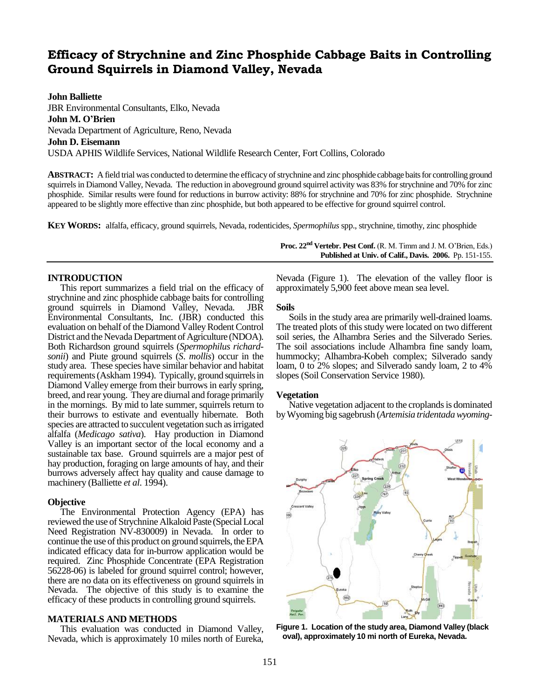# **Efficacy of Strychnine and Zinc Phosphide Cabbage Baits in Controlling Ground Squirrels in Diamond Valley, Nevada**

**John Balliette**

JBR Environmental Consultants, Elko, Nevada **John M. O'Brien** Nevada Department of Agriculture, Reno, Nevada **John D. Eisemann** USDA APHIS Wildlife Services, National Wildlife Research Center, Fort Collins, Colorado

**ABSTRACT:** A field trial was conducted to determine the efficacy of strychnine and zinc phosphide cabbage baits for controlling ground squirrels in Diamond Valley, Nevada. The reduction in aboveground ground squirrel activity was 83% for strychnine and 70% for zinc phosphide. Similar results were found for reductions in burrow activity: 88% for strychnine and 70% for zinc phosphide. Strychnine appeared to be slightly more effective than zinc phosphide, but both appeared to be effective for ground squirrel control.

**KEY WORDS:** alfalfa, efficacy, ground squirrels, Nevada, rodenticides, *Spermophilus* spp., strychnine, timothy, zinc phosphide

## **INTRODUCTION**

This report summarizes a field trial on the efficacy of strychnine and zinc phosphide cabbage baits for controlling ground squirrels in Diamond Valley, Nevada. JBR Environmental Consultants, Inc. (JBR) conducted this evaluation on behalf of the Diamond Valley Rodent Control District and the Nevada Department of Agriculture (NDOA). Both Richardson ground squirrels (*Spermophilus richardsonii*) and Piute ground squirrels (*S*. *mollis*) occur in the study area. These species have similar behavior and habitat requirements(Askham 1994). Typically, ground squirrels in Diamond Valley emerge from their burrows in early spring, breed, and rear young. They are diurnal and forage primarily in the mornings. By mid to late summer, squirrels return to their burrows to estivate and eventually hibernate. Both species are attracted to succulent vegetation such as irrigated alfalfa (*Medicago sativa*). Hay production in Diamond Valley is an important sector of the local economy and a sustainable tax base. Ground squirrels are a major pest of hay production, foraging on large amounts of hay, and their burrows adversely affect hay quality and cause damage to machinery (Balliette *et al*. 1994).

#### **Objective**

The Environmental Protection Agency (EPA) has reviewed the use of Strychnine Alkaloid Paste (Special Local Need Registration NV-830009) in Nevada. In order to continue the use of this product on ground squirrels, the EPA indicated efficacy data for in-burrow application would be required. Zinc Phosphide Concentrate (EPA Registration 56228-06) is labeled for ground squirrel control; however, there are no data on its effectiveness on ground squirrels in Nevada. The objective of this study is to examine the efficacy of these products in controlling ground squirrels.

## **MATERIALS AND METHODS**

This evaluation was conducted in Diamond Valley, Nevada, which is approximately 10 miles north of Eureka, **Proc. 22nd Vertebr. Pest Conf.** (R. M. Timm and J. M. O'Brien, Eds.) **Published at Univ. of Calif., Davis. 2006.** Pp. 151-155.

Nevada (Figure 1). The elevation of the valley floor is approximately 5,900 feet above mean sea level.

#### **Soils**

Soils in the study area are primarily well-drained loams. The treated plots of this study were located on two different soil series, the Alhambra Series and the Silverado Series. The soil associations include Alhambra fine sandy loam, hummocky; Alhambra-Kobeh complex; Silverado sandy loam, 0 to 2% slopes; and Silverado sandy loam, 2 to 4% slopes (Soil Conservation Service 1980).

#### **Vegetation**

Native vegetation adjacent to the croplands is dominated by Wyoming big sagebrush (*Artemisia tridentada wyoming-*



**Figure 1. Location of the study area, Diamond Valley (black oval), approximately 10 mi north of Eureka, Nevada.**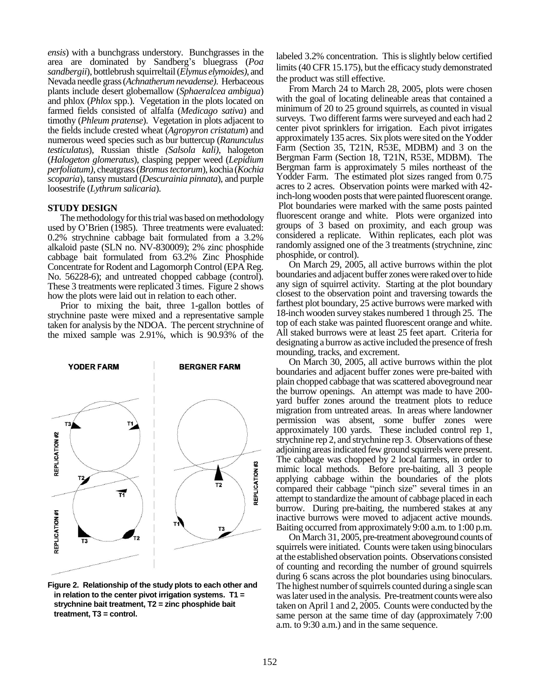*ensis*) with a bunchgrass understory. Bunchgrasses in the area are dominated by Sandberg's bluegrass (*Poa sandbergii*), bottlebrush squirreltail (*Elymus elymoides)*, and Nevada needle grass (*Achnatherumnevadense)*. Herbaceous plants include desert globemallow (*Sphaeralcea ambigua*) and phlox (*Phlox* spp.). Vegetation in the plots located on farmed fields consisted of alfalfa (*Medicago sativa*) and timothy (*Phleum pratense*). Vegetation in plots adjacent to the fields include crested wheat (*Agropyron cristatum*) and numerous weed species such as bur buttercup (*Ranunculus testiculatus*), Russian thistle *(Salsola kali)*, halogeton (*Halogeton glomeratus*), clasping pepper weed (*Lepidium perfoliatum)*, cheatgrass (*Bromus tectorum*), kochia (*Kochia scoparia*), tansy mustard (*Descurainia pinnata*), and purple loosestrife (*Lythrum salicaria*).

### **STUDY DESIGN**

The methodology for this trial was based on methodology used by O'Brien (1985). Three treatments were evaluated: 0.2% strychnine cabbage bait formulated from a 3.2% alkaloid paste (SLN no. NV-830009); 2% zinc phosphide cabbage bait formulated from 63.2% Zinc Phosphide Concentrate for Rodent and Lagomorph Control (EPA Reg. No. 56228-6); and untreated chopped cabbage (control). These 3 treatments were replicated 3 times. Figure 2 shows how the plots were laid out in relation to each other.

Prior to mixing the bait, three 1-gallon bottles of strychnine paste were mixed and a representative sample taken for analysis by the NDOA. The percent strychnine of the mixed sample was 2.91%, which is 90.93% of the



**Figure 2. Relationship of the study plots to each other and in relation to the center pivot irrigation systems. T1 = strychnine bait treatment, T2 = zinc phosphide bait treatment, T3 = control.**

labeled 3.2% concentration. This is slightly below certified limits (40 CFR 15.175), but the efficacy study demonstrated the product was still effective.

From March 24 to March 28, 2005, plots were chosen with the goal of locating delineable areas that contained a minimum of 20 to 25 ground squirrels, as counted in visual surveys. Two different farms were surveyed and each had 2 center pivot sprinklers for irrigation. Each pivot irrigates approximately 135 acres. Six plots were sited on the Yodder Farm (Section 35, T21N, R53E, MDBM) and 3 on the Bergman Farm (Section 18, T21N, R53E, MDBM). The Bergman farm is approximately 5 miles northeast of the Yodder Farm. The estimated plot sizes ranged from 0.75 acres to 2 acres. Observation points were marked with 42 inch-long wooden posts that were painted fluorescent orange. Plot boundaries were marked with the same posts painted fluorescent orange and white. Plots were organized into groups of 3 based on proximity, and each group was considered a replicate. Within replicates, each plot was randomly assigned one of the 3 treatments (strychnine, zinc phosphide, or control).

On March 29, 2005, all active burrows within the plot boundaries and adjacent buffer zones were raked over to hide any sign of squirrel activity. Starting at the plot boundary closest to the observation point and traversing towards the farthest plot boundary, 25 active burrows were marked with 18-inch wooden survey stakes numbered 1 through 25. The top of each stake was painted fluorescent orange and white. All staked burrows were at least 25 feet apart. Criteria for designating a burrow as active included the presence of fresh mounding, tracks, and excrement.

On March 30, 2005, all active burrows within the plot boundaries and adjacent buffer zones were pre-baited with plain chopped cabbage that was scattered aboveground near the burrow openings. An attempt was made to have 200 yard buffer zones around the treatment plots to reduce migration from untreated areas. In areas where landowner permission was absent, some buffer zones were approximately 100 yards. These included control rep 1, strychnine rep 2, and strychnine rep 3. Observations of these adjoining areasindicated few ground squirrels were present. The cabbage was chopped by 2 local farmers, in order to mimic local methods. Before pre-baiting, all 3 people applying cabbage within the boundaries of the plots compared their cabbage "pinch size" several times in an attempt to standardize the amount of cabbage placed in each burrow. During pre-baiting, the numbered stakes at any inactive burrows were moved to adjacent active mounds. Baiting occurred from approximately 9:00 a.m. to 1:00 p.m.

On March 31, 2005, pre-treatment aboveground counts of squirrels were initiated. Counts were taken using binoculars at the established observation points. Observations consisted of counting and recording the number of ground squirrels during 6 scans across the plot boundaries using binoculars. The highest number of squirrels counted during a single scan was later used in the analysis. Pre-treatment counts were also taken on April 1 and 2, 2005. Counts were conducted by the same person at the same time of day (approximately  $7:00$ a.m. to 9:30 a.m.) and in the same sequence.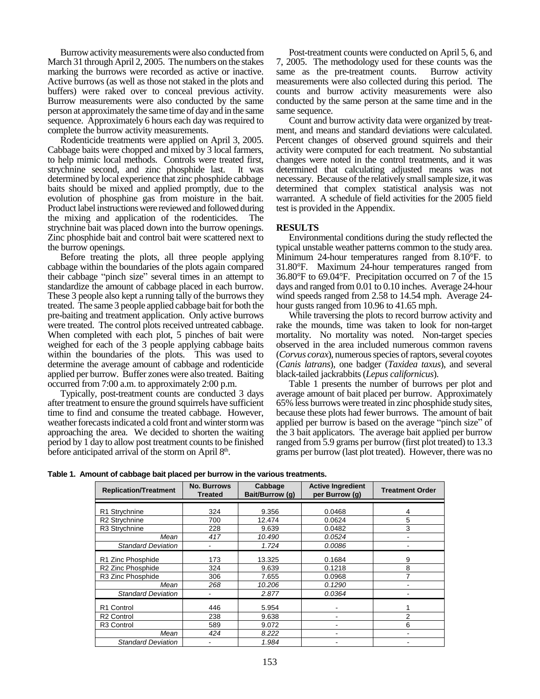Burrow activity measurements were also conducted from March 31 through April 2, 2005. The numbers on the stakes marking the burrows were recorded as active or inactive. Active burrows (as well as those not staked in the plots and buffers) were raked over to conceal previous activity. Burrow measurements were also conducted by the same person at approximately the same time of day and in the same sequence. Approximately 6 hours each day was required to complete the burrow activity measurements.

Rodenticide treatments were applied on April 3, 2005. Cabbage baits were chopped and mixed by 3 local farmers, to help mimic local methods. Controls were treated first, strychnine second, and zinc phosphide last. It was determined by local experience that zinc phosphide cabbage baits should be mixed and applied promptly, due to the evolution of phosphine gas from moisture in the bait. Product label instructions were reviewed and followed during the mixing and application of the rodenticides. The strychnine bait was placed down into the burrow openings. Zinc phosphide bait and control bait were scattered next to the burrow openings.

Before treating the plots, all three people applying cabbage within the boundaries of the plots again compared their cabbage "pinch size" several times in an attempt to standardize the amount of cabbage placed in each burrow. These 3 people also kept a running tally of the burrows they treated. The same 3 people applied cabbage bait for both the pre-baiting and treatment application. Only active burrows were treated. The control plots received untreated cabbage. When completed with each plot, 5 pinches of bait were weighed for each of the 3 people applying cabbage baits within the boundaries of the plots. This was used to determine the average amount of cabbage and rodenticide applied per burrow. Buffer zones were also treated. Baiting occurred from 7:00 a.m. to approximately 2:00 p.m.

Typically, post-treatment counts are conducted 3 days after treatment to ensure the ground squirrels have sufficient time to find and consume the treated cabbage. However, weather forecasts indicated a cold front and winter storm was approaching the area. We decided to shorten the waiting period by 1 day to allow post treatment counts to be finished before anticipated arrival of the storm on April 8<sup>th</sup>.

Post-treatment counts were conducted on April 5, 6, and 7, 2005. The methodology used for these counts was the same as the pre-treatment counts. Burrow activity measurements were also collected during this period. The counts and burrow activity measurements were also conducted by the same person at the same time and in the same sequence.

Count and burrow activity data were organized by treatment, and means and standard deviations were calculated. Percent changes of observed ground squirrels and their activity were computed for each treatment. No substantial changes were noted in the control treatments, and it was determined that calculating adjusted means was not necessary. Because of the relatively small sample size, it was determined that complex statistical analysis was not warranted. A schedule of field activities for the 2005 field test is provided in the Appendix.

## **RESULTS**

Environmental conditions during the study reflected the typical unstable weather patterns common to the study area. Minimum 24-hour temperatures ranged from 8.10°F. to 31.80°F. Maximum 24-hour temperatures ranged from 36.80°F to 69.04°F. Precipitation occurred on 7 of the 15 days and ranged from 0.01 to 0.10 inches. Average 24-hour wind speeds ranged from 2.58 to 14.54 mph. Average 24 hour gusts ranged from 10.96 to 41.65 mph.

While traversing the plots to record burrow activity and rake the mounds, time was taken to look for non-target mortality. No mortality was noted. Non-target species observed in the area included numerous common ravens (*Corvus corax*), numerous species of raptors, several coyotes (*Canis latrans*), one badger (*Taxidea taxus*), and several black-tailed jackrabbits (*Lepus californicus*).

Table 1 presents the number of burrows per plot and average amount of bait placed per burrow. Approximately 65% less burrows were treated in zinc phosphide study sites, because these plots had fewer burrows. The amount of bait applied per burrow is based on the average "pinch size" of the 3 bait applicators. The average bait applied per burrow ranged from 5.9 grams per burrow (first plot treated) to 13.3 grams per burrow (last plot treated). However, there was no

**Table 1. Amount of cabbage bait placed per burrow in the various treatments.**

| <b>Replication/Treatment</b> | <b>No. Burrows</b><br><b>Treated</b> | Cabbage<br>Bait/Burrow (g) | <b>Active Ingredient</b><br>per Burrow (g) | <b>Treatment Order</b> |  |  |
|------------------------------|--------------------------------------|----------------------------|--------------------------------------------|------------------------|--|--|
| R1 Strychnine                | 324                                  | 9.356                      | 0.0468                                     | 4                      |  |  |
| R <sub>2</sub> Strychnine    | 700                                  | 12.474<br>0.0624           |                                            | 5                      |  |  |
| R3 Strychnine                | 228                                  | 9.639                      | 0.0482                                     | 3                      |  |  |
| Mean                         | 417                                  | 10.490                     | 0.0524                                     | ۰                      |  |  |
| <b>Standard Deviation</b>    | -                                    | 1.724                      | 0.0086                                     |                        |  |  |
| R1 Zinc Phosphide            | 173                                  | 13.325                     | 0.1684                                     | 9                      |  |  |
| R2 Zinc Phosphide            | 324                                  | 9.639                      | 0.1218                                     | 8                      |  |  |
| R3 Zinc Phosphide            | 306                                  | 7.655                      | 0.0968                                     |                        |  |  |
| Mean                         | 268                                  | 10.206                     | 0.1290                                     |                        |  |  |
| <b>Standard Deviation</b>    | -                                    | 2.877                      | 0.0364                                     |                        |  |  |
| R <sub>1</sub> Control       | 446                                  | 5.954                      |                                            |                        |  |  |
| R <sub>2</sub> Control       | 238                                  | 9.638                      |                                            | $\mathfrak{p}$         |  |  |
| R <sub>3</sub> Control       | 589                                  | 9.072                      |                                            | 6                      |  |  |
| Mean                         | 424                                  | 8.222                      |                                            |                        |  |  |
| <b>Standard Deviation</b>    | -                                    | 1.984                      |                                            |                        |  |  |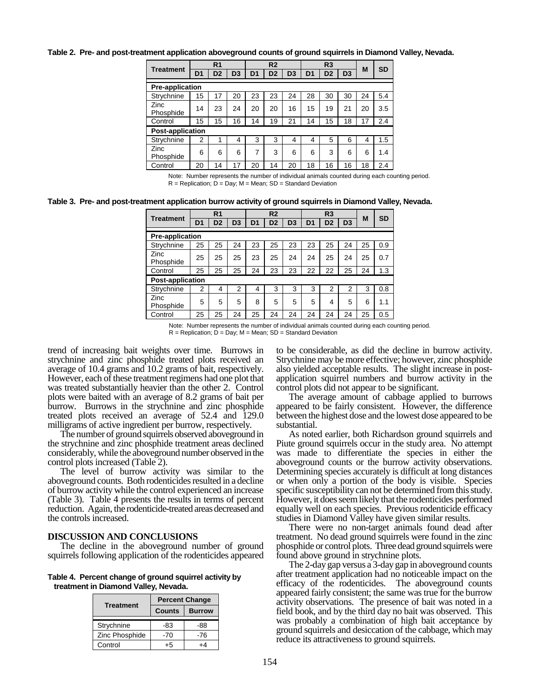**Table 2. Pre- and post-treatment application aboveground counts of ground squirrels in Diamond Valley, Nevada.**

|                         | R <sub>1</sub> |                | R <sub>2</sub> |                | R3             |                |                |                |                |    |           |
|-------------------------|----------------|----------------|----------------|----------------|----------------|----------------|----------------|----------------|----------------|----|-----------|
| <b>Treatment</b>        | D <sub>1</sub> | D <sub>2</sub> | D <sub>3</sub> | D <sub>1</sub> | D <sub>2</sub> | D <sub>3</sub> | D <sub>1</sub> | D <sub>2</sub> | D <sub>3</sub> | M  | <b>SD</b> |
| <b>Pre-application</b>  |                |                |                |                |                |                |                |                |                |    |           |
| Strychnine              | 15             | 17             | 20             | 23             | 23             | 24             | 28             | 30             | 30             | 24 | 5.4       |
| Zinc<br>Phosphide       | 14             | 23             | 24             | 20             | 20             | 16             | 15             | 19             | 21             | 20 | 3.5       |
| Control                 | 15             | 15             | 16             | 14             | 19             | 21             | 14             | 15             | 18             | 17 | 2.4       |
| <b>Post-application</b> |                |                |                |                |                |                |                |                |                |    |           |
| Strychnine              | 2              |                | 4              | 3              | 3              | 4              | 4              | 5              | 6              | 4  | 1.5       |
| Zinc<br>Phosphide       | 6              | 6              | 6              | 7              | 3              | 6              | 6              | 3              | 6              | 6  | 1.4       |
| Control                 | 20             | 14             | 17             | 20             | 14             | 20             | 18             | 16             | 16             | 18 | 2.4       |

Note: Number represents the number of individual animals counted during each counting period. R = Replication; D = Day; M = Mean; SD = Standard Deviation

**Table 3. Pre- and post-treatment application burrow activity of ground squirrels in Diamond Valley, Nevada.**

| <b>Treatment</b>        | R <sub>1</sub> |                | R <sub>2</sub> |                |                | R3             |                |                | M              | <b>SD</b> |     |
|-------------------------|----------------|----------------|----------------|----------------|----------------|----------------|----------------|----------------|----------------|-----------|-----|
|                         | D <sub>1</sub> | D <sub>2</sub> | D <sub>3</sub> | D <sub>1</sub> | D <sub>2</sub> | D <sub>3</sub> | D <sub>1</sub> | D <sub>2</sub> | D <sub>3</sub> |           |     |
| <b>Pre-application</b>  |                |                |                |                |                |                |                |                |                |           |     |
| Strychnine              | 25             | 25             | 24             | 23             | 25             | 23             | 23             | 25             | 24             | 25        | 0.9 |
| Zinc<br>Phosphide       | 25             | 25             | 25             | 23             | 25             | 24             | 24             | 25             | 24             | 25        | 0.7 |
| Control                 | 25             | 25             | 25             | 24             | 23             | 23             | 22             | 22             | 25             | 24        | 1.3 |
| <b>Post-application</b> |                |                |                |                |                |                |                |                |                |           |     |
| Strychnine              | $\overline{2}$ | 4              | 2              | 4              | 3              | 3              | 3              | $\overline{2}$ | 2              | 3         | 0.8 |
| Zinc<br>Phosphide       | 5              | 5              | 5              | 8              | 5              | 5              | 5              | 4              | 5              | 6         | 1.1 |
| Control                 | 25             | 25             | 24             | 25             | 24             | 24             | 24             | 24             | 24             | 25        | 0.5 |

Note: Number represents the number of individual animals counted during each counting period.  $R = Replication$ ;  $D = Day$ ;  $M = Mean$ ;  $SD = Standard Deviation$ 

trend of increasing bait weights over time. Burrows in strychnine and zinc phosphide treated plots received an average of 10.4 grams and 10.2 grams of bait, respectively. However, each of these treatment regimens had one plot that was treated substantially heavier than the other 2. Control plots were baited with an average of 8.2 grams of bait per burrow. Burrows in the strychnine and zinc phosphide treated plots received an average of 52.4 and 129.0 milligrams of active ingredient per burrow, respectively.

The number of ground squirrels observed aboveground in the strychnine and zinc phosphide treatment areas declined considerably, while the aboveground number observed in the control plots increased (Table 2).

The level of burrow activity was similar to the aboveground counts. Both rodenticides resulted in a decline of burrow activity while the control experienced an increase (Table 3). Table 4 presents the results in terms of percent reduction. Again, the rodenticide-treated areas decreased and the controls increased.

#### **DISCUSSION AND CONCLUSIONS**

The decline in the aboveground number of ground squirrels following application of the rodenticides appeared

**Table 4. Percent change of ground squirrel activity by treatment in Diamond Valley, Nevada.**

|                  | <b>Percent Change</b> |               |  |  |  |  |
|------------------|-----------------------|---------------|--|--|--|--|
| <b>Treatment</b> | <b>Counts</b>         | <b>Burrow</b> |  |  |  |  |
| Strychnine       | -83                   | -88           |  |  |  |  |
| Zinc Phosphide   | -70                   | -76           |  |  |  |  |
| Control          |                       |               |  |  |  |  |

to be considerable, as did the decline in burrow activity. Strychnine may be more effective; however, zinc phosphide also yielded acceptable results. The slight increase in postapplication squirrel numbers and burrow activity in the control plots did not appear to be significant.

The average amount of cabbage applied to burrows appeared to be fairly consistent. However, the difference between the highest dose and the lowest dose appeared to be substantial.

As noted earlier, both Richardson ground squirrels and Piute ground squirrels occur in the study area. No attempt was made to differentiate the species in either the aboveground counts or the burrow activity observations. Determining species accurately is difficult at long distances or when only a portion of the body is visible. Species specific susceptibility can not be determined from this study. However, it does seem likely that the rodenticides performed equally well on each species. Previous rodenticide efficacy studies in Diamond Valley have given similar results.

There were no non-target animals found dead after treatment. No dead ground squirrels were found in the zinc phosphide or control plots. Three dead ground squirrels were found above ground in strychnine plots.

The 2-day gap versus a 3-day gap in aboveground counts after treatment application had no noticeable impact on the efficacy of the rodenticides. The aboveground counts appeared fairly consistent; the same was true for the burrow activity observations. The presence of bait was noted in a field book, and by the third day no bait was observed. This was probably a combination of high bait acceptance by ground squirrels and desiccation of the cabbage, which may reduce its attractiveness to ground squirrels.